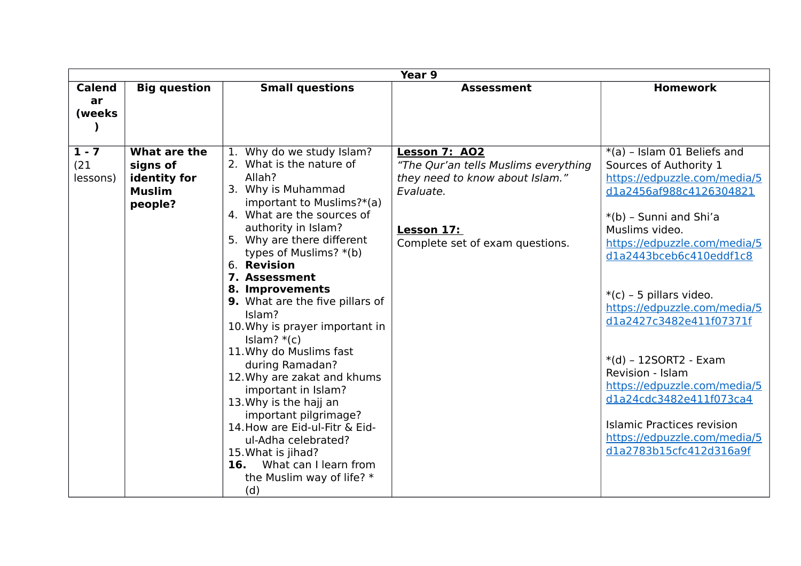|                                      |                                                                      |                                                                                                                                                                                                                                                                                                                                                                                                                                                                                                                                                                                                                                                                                           | Year 9                                                                                                                                                 |                                                                                                                                                                                                                                                                                                                                                                                                                                                                                                                    |
|--------------------------------------|----------------------------------------------------------------------|-------------------------------------------------------------------------------------------------------------------------------------------------------------------------------------------------------------------------------------------------------------------------------------------------------------------------------------------------------------------------------------------------------------------------------------------------------------------------------------------------------------------------------------------------------------------------------------------------------------------------------------------------------------------------------------------|--------------------------------------------------------------------------------------------------------------------------------------------------------|--------------------------------------------------------------------------------------------------------------------------------------------------------------------------------------------------------------------------------------------------------------------------------------------------------------------------------------------------------------------------------------------------------------------------------------------------------------------------------------------------------------------|
| <b>Calend</b>                        | <b>Big question</b>                                                  | <b>Small questions</b>                                                                                                                                                                                                                                                                                                                                                                                                                                                                                                                                                                                                                                                                    | <b>Assessment</b>                                                                                                                                      | <b>Homework</b>                                                                                                                                                                                                                                                                                                                                                                                                                                                                                                    |
| ar<br>(weeks)                        |                                                                      |                                                                                                                                                                                                                                                                                                                                                                                                                                                                                                                                                                                                                                                                                           |                                                                                                                                                        |                                                                                                                                                                                                                                                                                                                                                                                                                                                                                                                    |
| $\overline{1-7}$<br>(21)<br>lessons) | What are the<br>signs of<br>identity for<br><b>Muslim</b><br>people? | Why do we study Islam?<br>2. What is the nature of<br>Allah?<br>3. Why is Muhammad<br>important to Muslims?*(a)<br>4. What are the sources of<br>authority in Islam?<br>5. Why are there different<br>types of Muslims? *(b)<br>6. Revision<br>7. Assessment<br>8. Improvements<br>9. What are the five pillars of<br>Islam?<br>10. Why is prayer important in<br>Islam? $*(c)$<br>11. Why do Muslims fast<br>during Ramadan?<br>12. Why are zakat and khums<br>important in Islam?<br>13. Why is the hajj an<br>important pilgrimage?<br>14. How are Eid-ul-Fitr & Eid-<br>ul-Adha celebrated?<br>15. What is jihad?<br>What can I learn from<br>16.<br>the Muslim way of life? *<br>(d) | Lesson 7: AO2<br>"The Qur'an tells Muslims everything<br>they need to know about Islam."<br>Evaluate.<br>Lesson 17:<br>Complete set of exam questions. | *(a) - Islam 01 Beliefs and<br>Sources of Authority 1<br>https://edpuzzle.com/media/5<br>d1a2456af988c4126304821<br>*(b) - Sunni and Shi'a<br>Muslims video.<br>https://edpuzzle.com/media/5<br>dla2443bceb6c410eddf1c8<br>$*(c)$ - 5 pillars video.<br>https://edpuzzle.com/media/5<br>dla2427c3482e411f07371f<br>$*(d)$ - 12SORT2 - Exam<br>Revision - Islam<br>https://edpuzzle.com/media/5<br>dla24cdc3482e411f073ca4<br>Islamic Practices revision<br>https://edpuzzle.com/media/5<br>d1a2783b15cfc412d316a9f |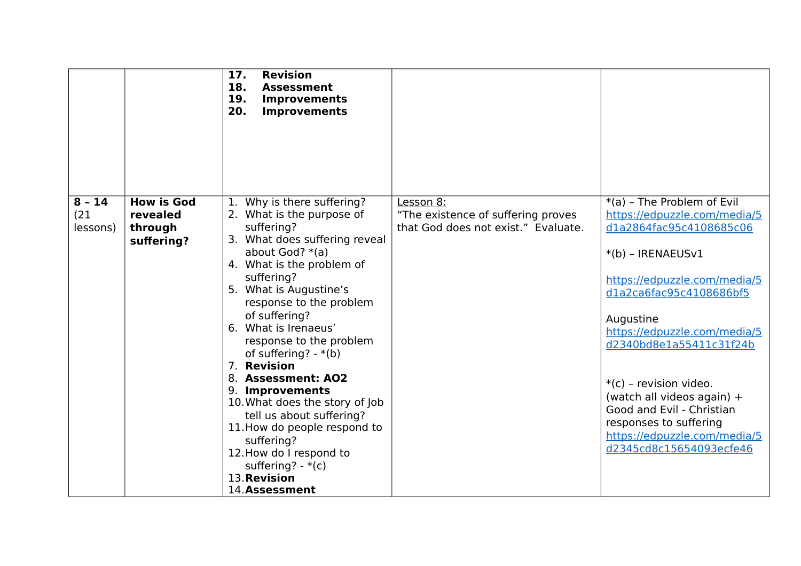|                                                                                        | 17.<br><b>Revision</b><br>18.<br><b>Assessment</b><br>19.<br><b>Improvements</b><br>20.<br><b>Improvements</b>                                                                                                                                                                                                                                                                                                                                                                                                                                                                   |                                                                                        |                                                                                                                                                                                                                                                                                                                                                                                                                              |
|----------------------------------------------------------------------------------------|----------------------------------------------------------------------------------------------------------------------------------------------------------------------------------------------------------------------------------------------------------------------------------------------------------------------------------------------------------------------------------------------------------------------------------------------------------------------------------------------------------------------------------------------------------------------------------|----------------------------------------------------------------------------------------|------------------------------------------------------------------------------------------------------------------------------------------------------------------------------------------------------------------------------------------------------------------------------------------------------------------------------------------------------------------------------------------------------------------------------|
| $8 - 14$<br><b>How is God</b><br>(21)<br>revealed<br>lessons)<br>through<br>suffering? | 1. Why is there suffering?<br>2. What is the purpose of<br>suffering?<br>3. What does suffering reveal<br>about God? $*(a)$<br>4. What is the problem of<br>suffering?<br>5. What is Augustine's<br>response to the problem<br>of suffering?<br>6. What is Irenaeus'<br>response to the problem<br>of suffering? - $*(b)$<br>7. Revision<br>8. Assessment: AO2<br>9. Improvements<br>10. What does the story of Job<br>tell us about suffering?<br>11. How do people respond to<br>suffering?<br>12. How do I respond to<br>suffering? $-*(c)$<br>13. Revision<br>14. Assessment | Lesson 8:<br>"The existence of suffering proves<br>that God does not exist." Evaluate. | *(a) - The Problem of Evil<br>https://edpuzzle.com/media/5<br>d1a2864fac95c4108685c06<br>$*(b)$ - IRENAEUS $v1$<br>https://edpuzzle.com/media/5<br>d1a2ca6fac95c4108686bf5<br>Augustine<br>https://edpuzzle.com/media/5<br>d2340bd8e1a55411c31f24b<br>*(c) - revision video.<br>(watch all videos again) +<br>Good and Evil - Christian<br>responses to suffering<br>https://edpuzzle.com/media/5<br>d2345cd8c15654093ecfe46 |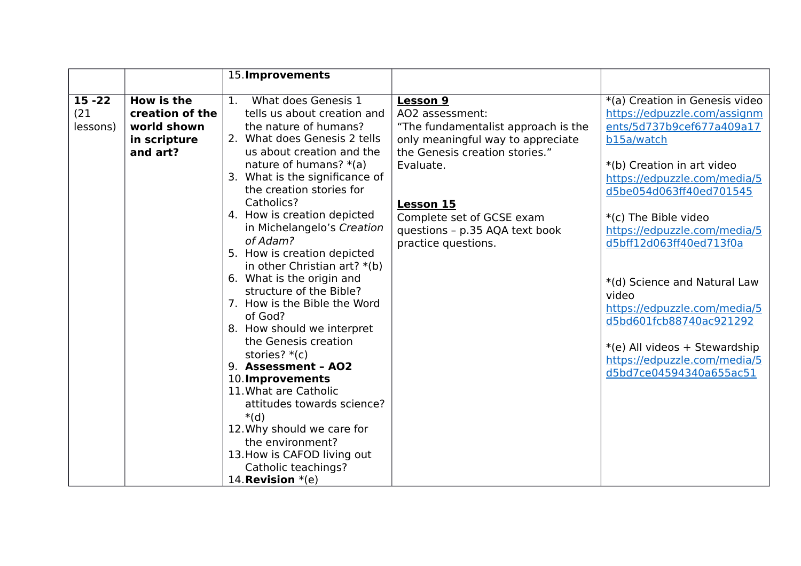|           |                   | 15. Improvements                      |                                     |                                |
|-----------|-------------------|---------------------------------------|-------------------------------------|--------------------------------|
|           |                   |                                       |                                     |                                |
| $15 - 22$ | <b>How is the</b> | What does Genesis 1<br>$\mathbf{1}$ . | <b>Lesson 9</b>                     | *(a) Creation in Genesis video |
| (21)      | creation of the   | tells us about creation and           | AO2 assessment:                     | https://edpuzzle.com/assignm   |
| lessons)  | world shown       | the nature of humans?                 | "The fundamentalist approach is the | ents/5d737b9cef677a409a17      |
|           | in scripture      | 2. What does Genesis 2 tells          | only meaningful way to appreciate   | b15a/watch                     |
|           | and art?          | us about creation and the             | the Genesis creation stories."      |                                |
|           |                   | nature of humans? $*(a)$              | Evaluate.                           | *(b) Creation in art video     |
|           |                   | 3. What is the significance of        |                                     | https://edpuzzle.com/media/5   |
|           |                   | the creation stories for              |                                     | d5be054d063ff40ed701545        |
|           |                   | Catholics?                            | <b>Lesson 15</b>                    |                                |
|           |                   | 4. How is creation depicted           | Complete set of GCSE exam           | *(c) The Bible video           |
|           |                   | in Michelangelo's Creation            | questions - p.35 AQA text book      | https://edpuzzle.com/media/5   |
|           |                   | of Adam?                              | practice questions.                 | d5bff12d063ff40ed713f0a        |
|           |                   | 5. How is creation depicted           |                                     |                                |
|           |                   | in other Christian art? $*(b)$        |                                     |                                |
|           |                   | 6. What is the origin and             |                                     | *(d) Science and Natural Law   |
|           |                   | structure of the Bible?               |                                     | video                          |
|           |                   | 7. How is the Bible the Word          |                                     | https://edpuzzle.com/media/5   |
|           |                   | of God?                               |                                     | d5bd601fcb88740ac921292        |
|           |                   | 8. How should we interpret            |                                     |                                |
|           |                   | the Genesis creation                  |                                     | *(e) All videos + Stewardship  |
|           |                   | stories? $*(c)$                       |                                     | https://edpuzzle.com/media/5   |
|           |                   | 9. Assessment - AO2                   |                                     | d5bd7ce04594340a655ac51        |
|           |                   | 10. Improvements                      |                                     |                                |
|           |                   | 11. What are Catholic                 |                                     |                                |
|           |                   | attitudes towards science?            |                                     |                                |
|           |                   | $*(d)$                                |                                     |                                |
|           |                   | 12. Why should we care for            |                                     |                                |
|           |                   | the environment?                      |                                     |                                |
|           |                   | 13. How is CAFOD living out           |                                     |                                |
|           |                   | Catholic teachings?                   |                                     |                                |
|           |                   | 14. <b>Revision</b> $*(e)$            |                                     |                                |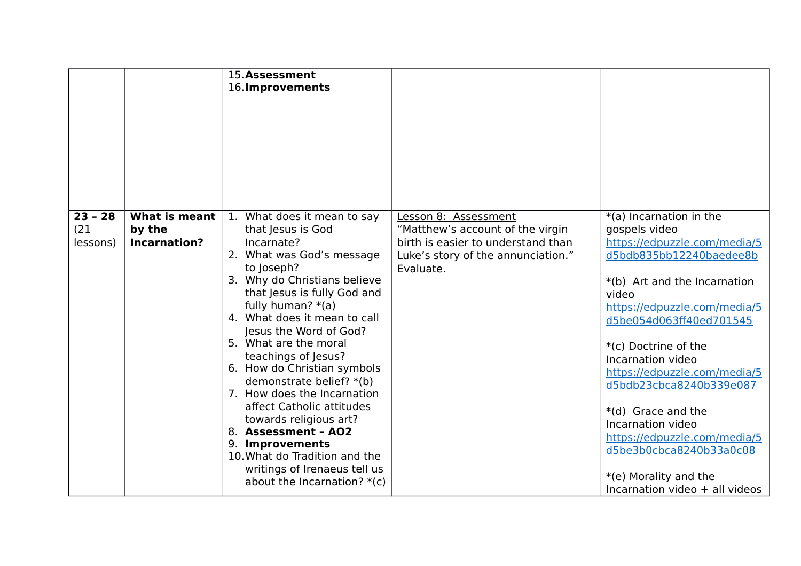|                               |                                                | 15.Assessment<br>16. Improvements                                                                                                                                                                                                                                                                                                                                                                                                                                                                                                                                                                      |                                                                                                                                                   |                                                                                                                                                                                                                                                                                                                                                                                                                                                                                  |
|-------------------------------|------------------------------------------------|--------------------------------------------------------------------------------------------------------------------------------------------------------------------------------------------------------------------------------------------------------------------------------------------------------------------------------------------------------------------------------------------------------------------------------------------------------------------------------------------------------------------------------------------------------------------------------------------------------|---------------------------------------------------------------------------------------------------------------------------------------------------|----------------------------------------------------------------------------------------------------------------------------------------------------------------------------------------------------------------------------------------------------------------------------------------------------------------------------------------------------------------------------------------------------------------------------------------------------------------------------------|
| $23 - 28$<br>(21)<br>lessons) | What is meant<br>by the<br><b>Incarnation?</b> | 1. What does it mean to say<br>that Jesus is God<br>Incarnate?<br>2. What was God's message<br>to Joseph?<br>3. Why do Christians believe<br>that Jesus is fully God and<br>fully human? $*(a)$<br>4. What does it mean to call<br>Jesus the Word of God?<br>5. What are the moral<br>teachings of Jesus?<br>6. How do Christian symbols<br>demonstrate belief? *(b)<br>7. How does the Incarnation<br>affect Catholic attitudes<br>towards religious art?<br>8. Assessment - AO2<br>9. Improvements<br>10. What do Tradition and the<br>writings of Irenaeus tell us<br>about the Incarnation? $*(c)$ | Lesson 8: Assessment<br>"Matthew's account of the virgin<br>birth is easier to understand than<br>Luke's story of the annunciation."<br>Evaluate. | *(a) Incarnation in the<br>gospels video<br>https://edpuzzle.com/media/5<br>d5bdb835bb12240baedee8b<br>*(b) Art and the Incarnation<br>video<br>https://edpuzzle.com/media/5<br>d5be054d063ff40ed701545<br>*(c) Doctrine of the<br>Incarnation video<br>https://edpuzzle.com/media/5<br>d5bdb23cbca8240b339e087<br>*(d) Grace and the<br>Incarnation video<br>https://edpuzzle.com/media/5<br>d5be3b0cbca8240b33a0c08<br>*(e) Morality and the<br>Incarnation video + all videos |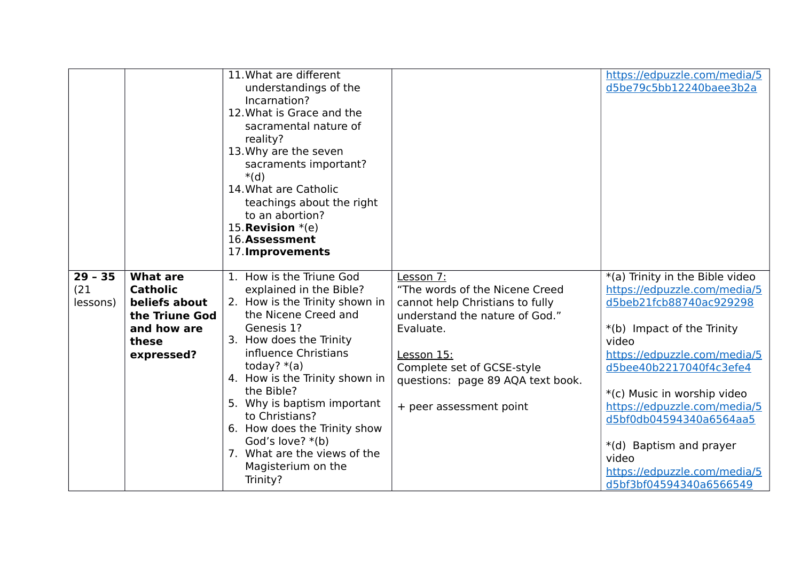|                   |                                    | 11. What are different<br>understandings of the<br>Incarnation?<br>12. What is Grace and the<br>sacramental nature of<br>reality?<br>13. Why are the seven<br>sacraments important?<br>$*(d)$<br>14. What are Catholic<br>teachings about the right<br>to an abortion?<br>15. <b>Revision</b> $*(e)$<br>16.Assessment<br>17. Improvements |                                             | https://edpuzzle.com/media/5<br>d5be79c5bb12240baee3b2a         |
|-------------------|------------------------------------|-------------------------------------------------------------------------------------------------------------------------------------------------------------------------------------------------------------------------------------------------------------------------------------------------------------------------------------------|---------------------------------------------|-----------------------------------------------------------------|
| $29 - 35$<br>(21) | <b>What are</b><br><b>Catholic</b> | 1. How is the Triune God<br>explained in the Bible?                                                                                                                                                                                                                                                                                       | Lesson 7:<br>"The words of the Nicene Creed | *(a) Trinity in the Bible video<br>https://edpuzzle.com/media/5 |
| lessons)          | beliefs about                      | 2. How is the Trinity shown in                                                                                                                                                                                                                                                                                                            | cannot help Christians to fully             | d5beb21fcb88740ac929298                                         |
|                   | the Triune God                     | the Nicene Creed and                                                                                                                                                                                                                                                                                                                      | understand the nature of God."              |                                                                 |
|                   | and how are<br>these               | Genesis 1?<br>3. How does the Trinity                                                                                                                                                                                                                                                                                                     | Evaluate.                                   | *(b) Impact of the Trinity<br>video                             |
|                   | expressed?                         | influence Christians                                                                                                                                                                                                                                                                                                                      | Lesson 15:                                  | https://edpuzzle.com/media/5                                    |
|                   |                                    | today? $*(a)$                                                                                                                                                                                                                                                                                                                             | Complete set of GCSE-style                  | d5bee40b2217040f4c3efe4                                         |
|                   |                                    | 4. How is the Trinity shown in<br>the Bible?                                                                                                                                                                                                                                                                                              | questions: page 89 AQA text book.           | *(c) Music in worship video                                     |
|                   |                                    | 5. Why is baptism important                                                                                                                                                                                                                                                                                                               | + peer assessment point                     | https://edpuzzle.com/media/5                                    |
|                   |                                    | to Christians?<br>6. How does the Trinity show                                                                                                                                                                                                                                                                                            |                                             | d5bf0db04594340a6564aa5                                         |
|                   |                                    | God's love? $*(b)$                                                                                                                                                                                                                                                                                                                        |                                             | *(d) Baptism and prayer                                         |
|                   |                                    | 7. What are the views of the                                                                                                                                                                                                                                                                                                              |                                             | video                                                           |
|                   |                                    | Magisterium on the                                                                                                                                                                                                                                                                                                                        |                                             | https://edpuzzle.com/media/5                                    |
|                   |                                    | Trinity?                                                                                                                                                                                                                                                                                                                                  |                                             | d5bf3bf04594340a6566549                                         |